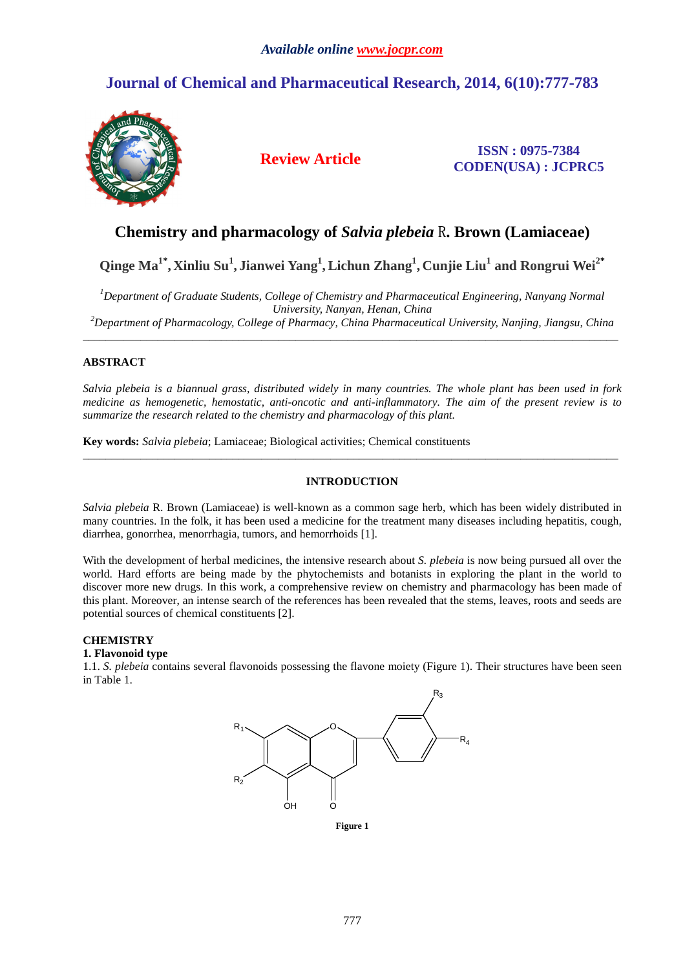# **Journal of Chemical and Pharmaceutical Research, 2014, 6(10):777-783**



**Review Article ISSN : 0975-7384 CODEN(USA) : JCPRC5**

# **Chemistry and pharmacology of** *Salvia plebeia* R**. Brown (Lamiaceae)**

**Qinge Ma1\* , Xinliu Su<sup>1</sup> , Jianwei Yang<sup>1</sup> , Lichun Zhang<sup>1</sup> , Cunjie Liu<sup>1</sup> and Rongrui Wei2\*** 

*<sup>1</sup>Department of Graduate Students, College of Chemistry and Pharmaceutical Engineering, Nanyang Normal University, Nanyan, Henan, China* 

*<sup>2</sup>Department of Pharmacology, College of Pharmacy, China Pharmaceutical University, Nanjing, Jiangsu, China*  \_\_\_\_\_\_\_\_\_\_\_\_\_\_\_\_\_\_\_\_\_\_\_\_\_\_\_\_\_\_\_\_\_\_\_\_\_\_\_\_\_\_\_\_\_\_\_\_\_\_\_\_\_\_\_\_\_\_\_\_\_\_\_\_\_\_\_\_\_\_\_\_\_\_\_\_\_\_\_\_\_\_\_\_\_\_\_\_\_\_\_\_\_

# **ABSTRACT**

*Salvia plebeia is a biannual grass, distributed widely in many countries. The whole plant has been used in fork medicine as hemogenetic, hemostatic, anti-oncotic and anti-inflammatory. The aim of the present review is to summarize the research related to the chemistry and pharmacology of this plant.* 

**Key words:** *Salvia plebeia*; Lamiaceae; Biological activities; Chemical constituents

## **INTRODUCTION**

\_\_\_\_\_\_\_\_\_\_\_\_\_\_\_\_\_\_\_\_\_\_\_\_\_\_\_\_\_\_\_\_\_\_\_\_\_\_\_\_\_\_\_\_\_\_\_\_\_\_\_\_\_\_\_\_\_\_\_\_\_\_\_\_\_\_\_\_\_\_\_\_\_\_\_\_\_\_\_\_\_\_\_\_\_\_\_\_\_\_\_\_\_

*Salvia plebeia* R. Brown (Lamiaceae) is well-known as a common sage herb, which has been widely distributed in many countries. In the folk, it has been used a medicine for the treatment many diseases including hepatitis, cough, diarrhea, gonorrhea, menorrhagia, tumors, and hemorrhoids [1].

With the development of herbal medicines, the intensive research about *S. plebeia* is now being pursued all over the world. Hard efforts are being made by the phytochemists and botanists in exploring the plant in the world to discover more new drugs. In this work, a comprehensive review on chemistry and pharmacology has been made of this plant. Moreover, an intense search of the references has been revealed that the stems, leaves, roots and seeds are potential sources of chemical constituents [2].

# **CHEMISTRY**

### **1. Flavonoid type**

1.1. *S. plebeia* contains several flavonoids possessing the flavone moiety (Figure 1). Their structures have been seen in Table 1.

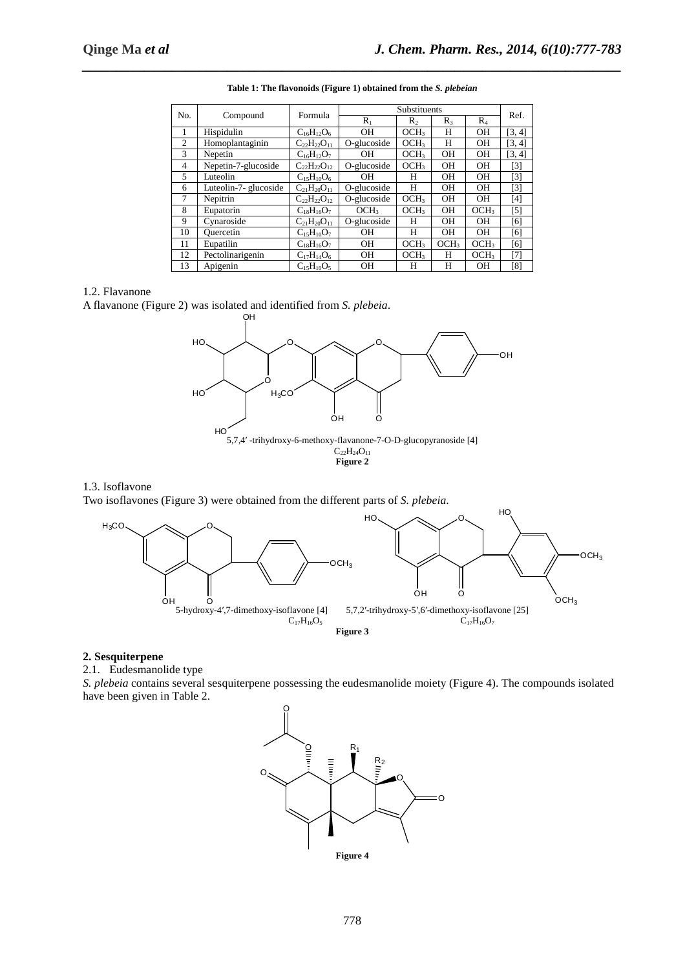| No.            | Compound              | Formula              | Substituents     |                  |                  |                  | Ref.   |
|----------------|-----------------------|----------------------|------------------|------------------|------------------|------------------|--------|
|                |                       |                      | $R_1$            | R <sub>2</sub>   | $R_{3}$          | $R_4$            |        |
| 1              | Hispidulin            | $C_{16}H_{12}O_6$    | OН               | OCH <sub>3</sub> | H                | <b>OH</b>        | [3, 4] |
| $\mathfrak{2}$ | Homoplantaginin       | $C_{22}H_{22}O_{11}$ | O-glucoside      | OCH <sub>3</sub> | H                | <b>OH</b>        | [3, 4] |
| 3              | Nepetin               | $C_{16}H_{12}O_7$    | <b>OH</b>        | OCH <sub>3</sub> | <b>OH</b>        | <b>OH</b>        | [3, 4] |
| $\overline{4}$ | Nepetin-7-glucoside   | $C_{22}H_{22}O_{12}$ | O-glucoside      | OCH <sub>3</sub> | <b>OH</b>        | <b>OH</b>        | [3]    |
| 5              | Luteolin              | $C_{15}H_{10}O_6$    | <b>OH</b>        | H                | <b>OH</b>        | <b>OH</b>        | [3]    |
| 6              | Luteolin-7- glucoside | $C_{21}H_{20}O_{11}$ | O-glucoside      | H                | <b>OH</b>        | <b>OH</b>        | [3]    |
| $\tau$         | Nepitrin              | $C_{22}H_{22}O_{12}$ | O-glucoside      | OCH <sub>3</sub> | <b>OH</b>        | <b>OH</b>        | [4]    |
| 8              | Eupatorin             | $C_{18}H_{16}O_7$    | OCH <sub>3</sub> | OCH <sub>3</sub> | <b>OH</b>        | OCH <sub>3</sub> | [5]    |
| 9              | Cynaroside            | $C_{21}H_{20}O_{11}$ | O-glucoside      | H                | <b>OH</b>        | <b>OH</b>        | [6]    |
| 10             | Ouercetin             | $C_{15}H_{10}O_7$    | OН               | Н                | <b>OH</b>        | OН               | [6]    |
| 11             | Eupatilin             | $C_{18}H_{16}O_7$    | OН               | OCH <sub>3</sub> | OCH <sub>3</sub> | OCH <sub>3</sub> | [6]    |
| 12             | Pectolinarigenin      | $C_{17}H_{14}O_6$    | OН               | OCH <sub>3</sub> | H                | OCH <sub>3</sub> | [7]    |
| 13             | Apigenin              | $C_{15}H_{10}O_5$    | <b>OH</b>        | Н                | H                | <b>OH</b>        | [8]    |

| Table 1: The flavonoids (Figure 1) obtained from the S. <i>plebeian</i> |
|-------------------------------------------------------------------------|

#### 1.2. Flavanone

A flavanone (Figure 2) was isolated and identified from *S. plebeia*.



#### 1.3. Isoflavone

Two isoflavones (Figure 3) were obtained from the different parts of *S. plebeia*.



### **2. Sesquiterpene**

2.1. Eudesmanolide type

*S. plebeia* contains several sesquiterpene possessing the eudesmanolide moiety (Figure 4). The compounds isolated have been given in Table 2.

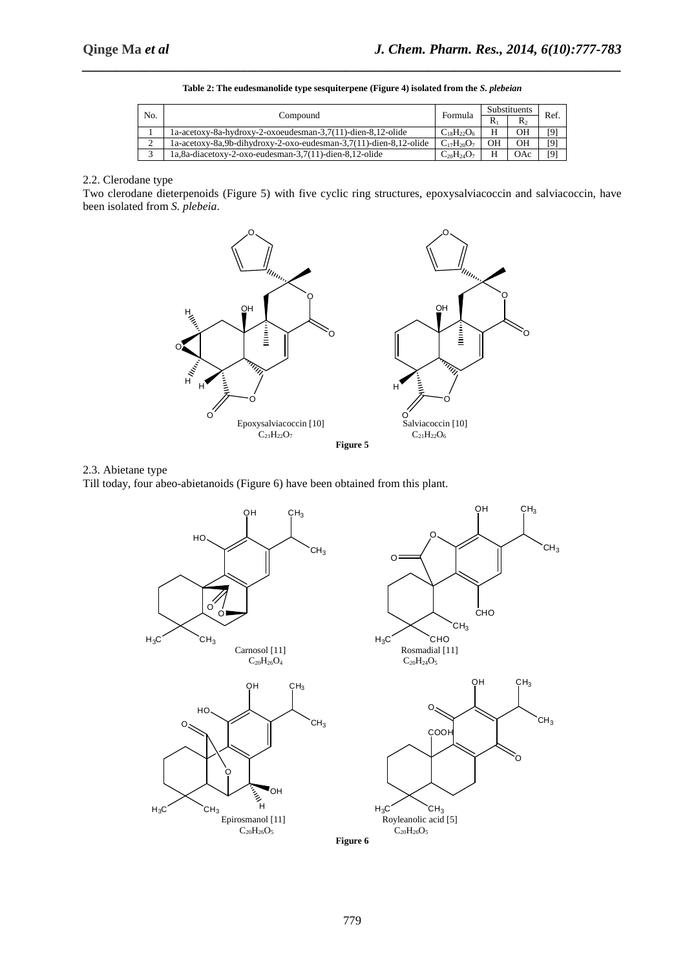| No. | Compound                                                          |                   | <b>Substituents</b> |            | Ref. |
|-----|-------------------------------------------------------------------|-------------------|---------------------|------------|------|
|     |                                                                   |                   | R                   | R٠         |      |
|     | 1a-acetoxy-8a-hydroxy-2-oxoeudesman-3,7(11)-dien-8,12-olide       | $C_{18}H_{22}O_6$ | Н                   | OН         | [9]  |
|     | 1a-acetoxy-8a,9b-dihydroxy-2-oxo-eudesman-3,7(11)-dien-8,12-olide | $C_{17}H_{20}O_7$ | OН                  | ΟH         | [9]  |
|     | 1a,8a-diacetoxy-2-oxo-eudesman-3,7(11)-dien-8,12-olide            | $C_{20}H_{24}O_7$ | Н                   | <b>OAc</b> | [9]  |

| Table 2: The eudesmanolide type sesquiterpene (Figure 4) isolated from the S. plebeian |  |
|----------------------------------------------------------------------------------------|--|

### 2.2. Clerodane type

Two clerodane dieterpenoids (Figure 5) with five cyclic ring structures, epoxysalviacoccin and salviacoccin, have been isolated from *S. plebeia*.



### 2.3. Abietane type

Till today, four abeo-abietanoids (Figure 6) have been obtained from this plant.



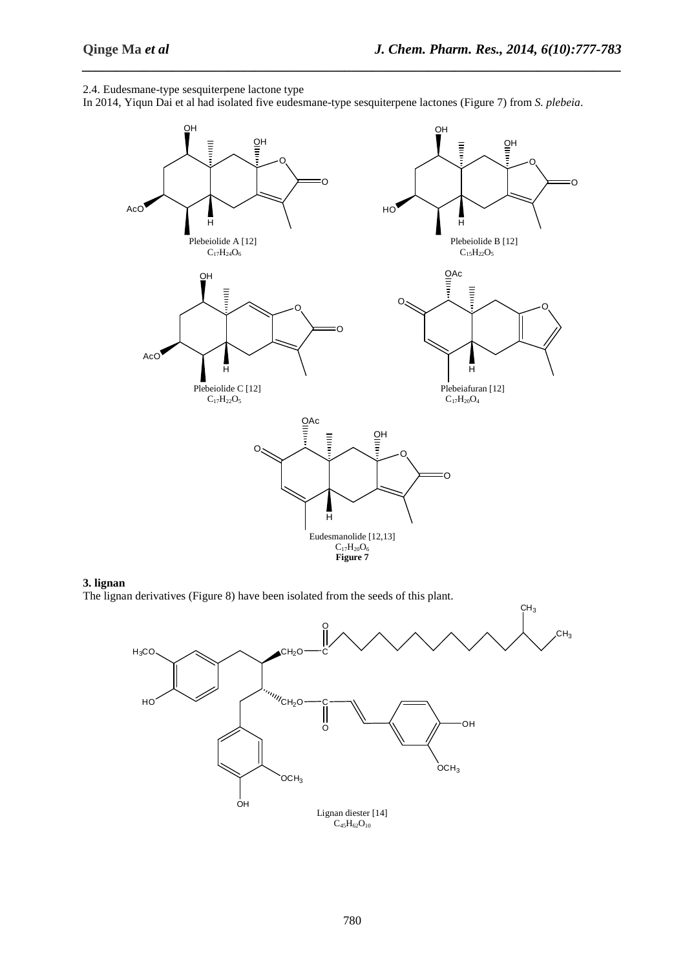2.4. Eudesmane-type sesquiterpene lactone type

In 2014, Yiqun Dai et al had isolated five eudesmane-type sesquiterpene lactones (Figure 7) from *S. plebeia*.

*\_\_\_\_\_\_\_\_\_\_\_\_\_\_\_\_\_\_\_\_\_\_\_\_\_\_\_\_\_\_\_\_\_\_\_\_\_\_\_\_\_\_\_\_\_\_\_\_\_\_\_\_\_\_\_\_\_\_\_\_\_\_\_\_\_\_\_\_\_\_\_\_\_\_\_\_\_\_*





The lignan derivatives (Figure 8) have been isolated from the seeds of this plant.

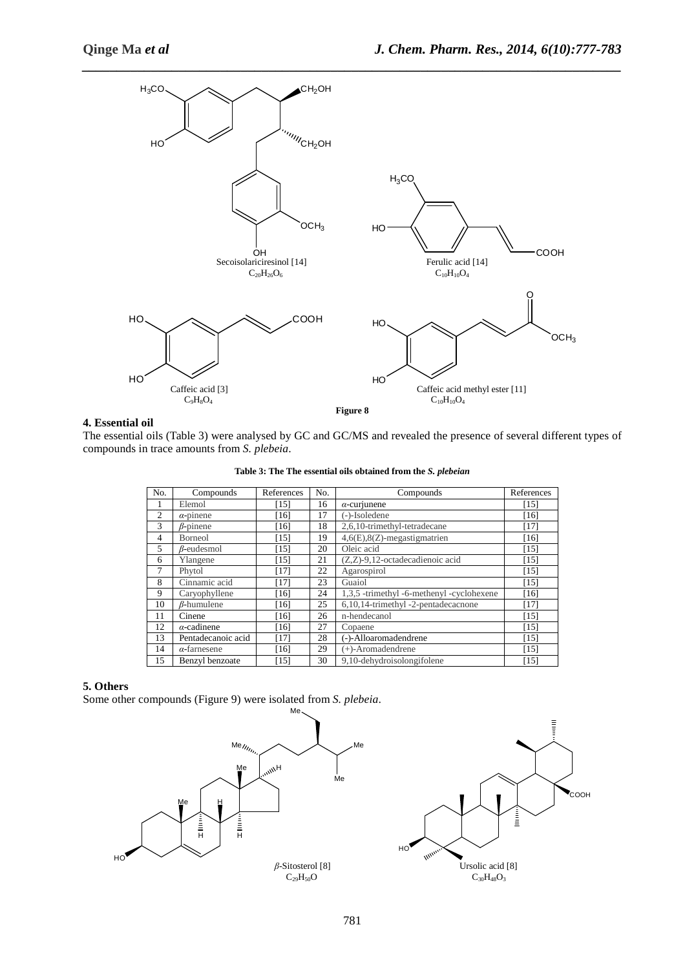

# **4. Essential oil**

The essential oils (Table 3) were analysed by GC and GC/MS and revealed the presence of several different types of compounds in trace amounts from *S. plebeia*.

| Table 3: The The essential oils obtained from the S. plebeian |  |  |  |  |
|---------------------------------------------------------------|--|--|--|--|
|---------------------------------------------------------------|--|--|--|--|

| No.            | Compounds           | References | No. | Compounds                                 | References |
|----------------|---------------------|------------|-----|-------------------------------------------|------------|
|                | Elemol              | [15]       | 16  | $\alpha$ -curjunene                       | [15]       |
| $\overline{c}$ | $\alpha$ -pinene    | [16]       | 17  | (-)-Isoledene                             | [16]       |
| 3              | $\beta$ -pinene     | [16]       | 18  | 2,6,10-trimethyl-tetradecane              | [17]       |
| 4              | <b>Borneol</b>      | $[15]$     | 19  | 4,6(E),8(Z)-megastigmatrien               | [16]       |
| 5              | $\beta$ -eudesmol   | [15]       | 20  | Oleic acid                                | $[15]$     |
| 6              | Ylangene            | [15]       | 21  | (Z,Z)-9,12-octadecadienoic acid           | $[15]$     |
| 7              | Phytol              | [17]       | 22  | Agarospirol                               | [15]       |
| 8              | Cinnamic acid       | [17]       | 23  | Guaiol                                    | $[15]$     |
| 9              | Caryophyllene       | [16]       | 24  | 1,3,5 -trimethyl -6-methenyl -cyclohexene | [16]       |
| 10             | $\beta$ -humulene   | [16]       | 25  | 6,10,14-trimethyl-2-pentadecacnone        | [17]       |
| 11             | Cinene              | [16]       | 26  | n-hendecanol                              | $[15]$     |
| 12             | $\alpha$ -cadinene  | [16]       | 27  | Copaene                                   | $[15]$     |
| 13             | Pentadecanoic acid  | [17]       | 28  | (-)-Alloaromadendrene                     | $[15]$     |
| 14             | $\alpha$ -farnesene | [16]       | 29  | (+)-Aromadendrene                         | $[15]$     |
| 15             | Benzyl benzoate     | [15]       | 30  | 9,10-dehydroisolongifolene                | [15]       |

## **5. Others**

Some other compounds (Figure 9) were isolated from *S. plebeia*.

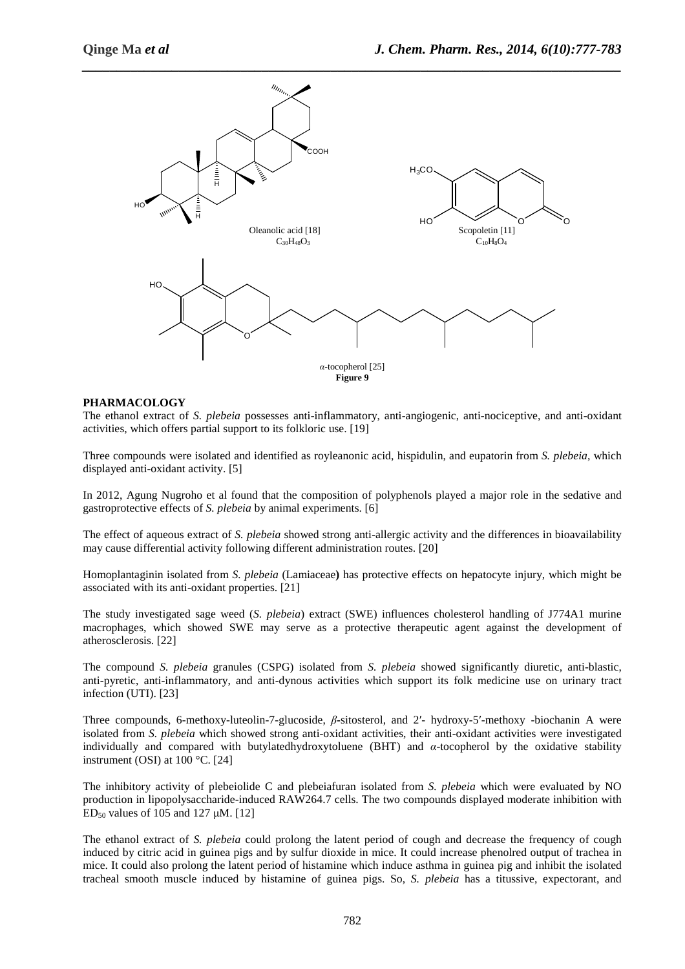

#### **PHARMACOLOGY**

The ethanol extract of *S. plebeia* possesses anti-inflammatory, anti-angiogenic, anti-nociceptive, and anti-oxidant activities, which offers partial support to its folkloric use. [19]

Three compounds were isolated and identified as royleanonic acid, hispidulin, and eupatorin from *S. plebeia*, which displayed anti-oxidant activity. [5]

In 2012, Agung Nugroho et al found that the composition of polyphenols played a major role in the sedative and gastroprotective effects of *S. plebeia* by animal experiments. [6]

The effect of aqueous extract of *S. plebeia* showed strong anti-allergic activity and the differences in bioavailability may cause differential activity following different administration routes. [20]

Homoplantaginin isolated from *S. plebeia* (Lamiaceae**)** has protective effects on hepatocyte injury, which might be associated with its anti-oxidant properties. [21]

The study investigated sage weed (*S. plebeia*) extract (SWE) influences cholesterol handling of J774A1 murine macrophages, which showed SWE may serve as a protective therapeutic agent against the development of atherosclerosis. [22]

The compound *S. plebeia* granules (CSPG) isolated from *S. plebeia* showed significantly diuretic, anti-blastic, anti-pyretic, anti-inflammatory, and anti-dynous activities which support its folk medicine use on urinary tract infection (UTI). [23]

Three compounds, 6-methoxy-luteolin-7-glucoside, *β***-**sitosterol, and 2′- hydroxy-5′-methoxy -biochanin A were isolated from *S. plebeia* which showed strong anti-oxidant activities, their anti-oxidant activities were investigated individually and compared with butylatedhydroxytoluene (BHT) and *α*-tocopherol by the oxidative stability instrument (OSI) at 100 °C. [24]

The inhibitory activity of plebeiolide C and plebeiafuran isolated from *S. plebeia* which were evaluated by NO production in lipopolysaccharide-induced RAW264.7 cells. The two compounds displayed moderate inhibition with  $ED_{50}$  values of 105 and 127  $\mu$ M. [12]

The ethanol extract of *S. plebeia* could prolong the latent period of cough and decrease the frequency of cough induced by citric acid in guinea pigs and by sulfur dioxide in mice. It could increase phenolred output of trachea in mice. It could also prolong the latent period of histamine which induce asthma in guinea pig and inhibit the isolated tracheal smooth muscle induced by histamine of guinea pigs. So, *S. plebeia* has a titussive, expectorant, and